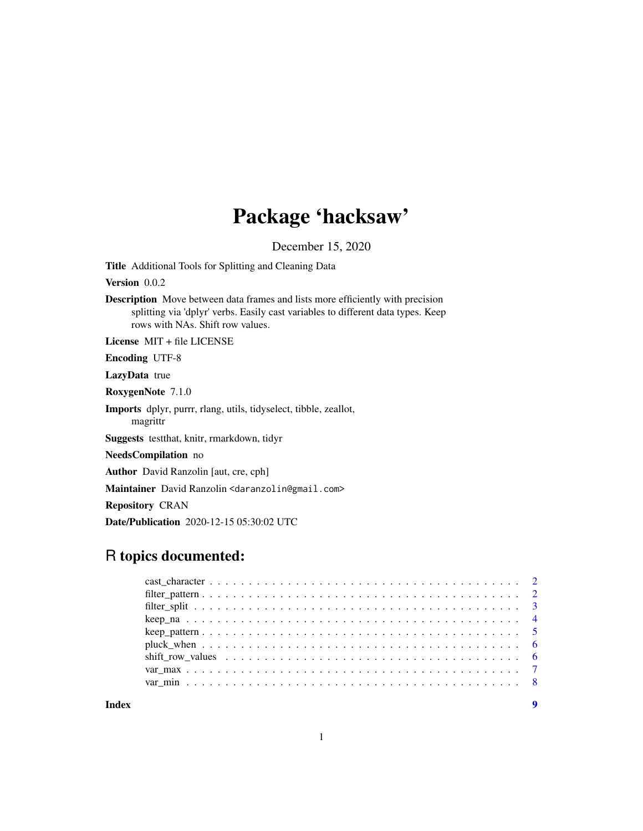## Package 'hacksaw'

December 15, 2020

Title Additional Tools for Splitting and Cleaning Data

Version 0.0.2

Description Move between data frames and lists more efficiently with precision splitting via 'dplyr' verbs. Easily cast variables to different data types. Keep rows with NAs. Shift row values.

License MIT + file LICENSE

Encoding UTF-8

LazyData true

RoxygenNote 7.1.0

Imports dplyr, purrr, rlang, utils, tidyselect, tibble, zeallot, magrittr

Suggests testthat, knitr, rmarkdown, tidyr

NeedsCompilation no

Author David Ranzolin [aut, cre, cph]

Maintainer David Ranzolin <daranzolin@gmail.com>

Repository CRAN

Date/Publication 2020-12-15 05:30:02 UTC

## R topics documented:

**Index** [9](#page-8-0)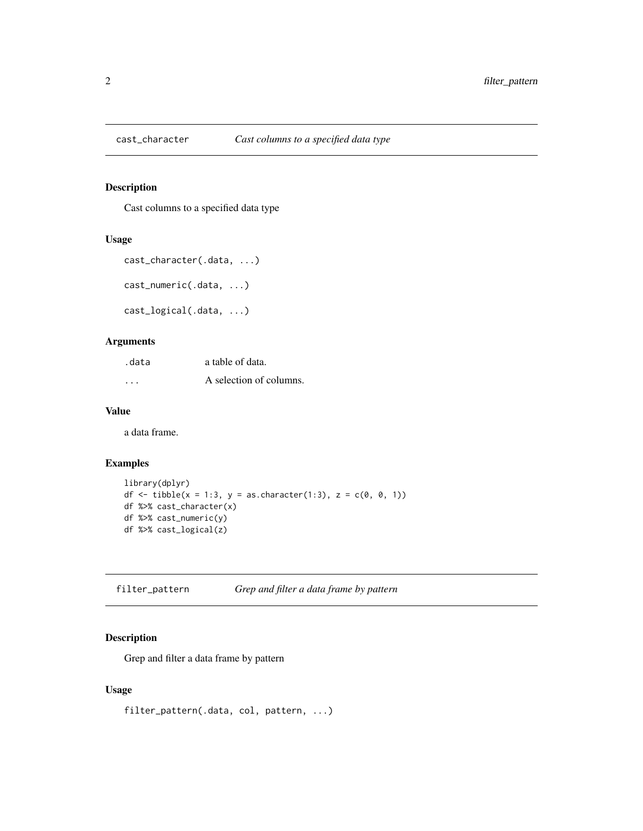<span id="page-1-0"></span>

#### Description

Cast columns to a specified data type

#### Usage

```
cast_character(.data, ...)
```
cast\_numeric(.data, ...)

```
cast_logical(.data, ...)
```
#### Arguments

| .data    | a table of data.        |
|----------|-------------------------|
| $\cdots$ | A selection of columns. |

#### Value

a data frame.

#### Examples

```
library(dplyr)
df <- tibble(x = 1:3, y = as.character(1:3), z = c(0, 0, 1))
df %>% cast_character(x)
df %>% cast_numeric(y)
df %>% cast_logical(z)
```
filter\_pattern *Grep and filter a data frame by pattern*

#### Description

Grep and filter a data frame by pattern

#### Usage

filter\_pattern(.data, col, pattern, ...)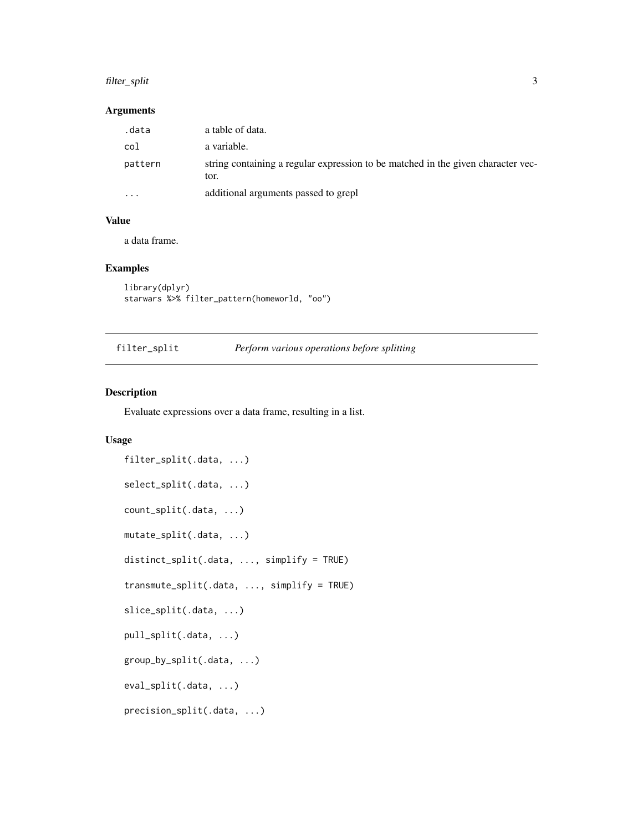#### <span id="page-2-0"></span>filter\_split 3

#### Arguments

| .data                   | a table of data.                                                                         |
|-------------------------|------------------------------------------------------------------------------------------|
| col                     | a variable.                                                                              |
| pattern                 | string containing a regular expression to be matched in the given character vec-<br>tor. |
| $\cdot$ $\cdot$ $\cdot$ | additional arguments passed to grepl                                                     |

#### Value

a data frame.

#### Examples

```
library(dplyr)
starwars %>% filter_pattern(homeworld, "oo")
```

| filter_split |  | Perform various operations before splitting |  |
|--------------|--|---------------------------------------------|--|
|              |  |                                             |  |

#### Description

Evaluate expressions over a data frame, resulting in a list.

#### Usage

```
filter_split(.data, ...)
select_split(.data, ...)
count_split(.data, ...)
mutate_split(.data, ...)
distinct_split(.data, ..., simplify = TRUE)
transmute_split(.data, ..., simplify = TRUE)
slice_split(.data, ...)
pull_split(.data, ...)
group_by_split(.data, ...)
eval_split(.data, ...)
precision_split(.data, ...)
```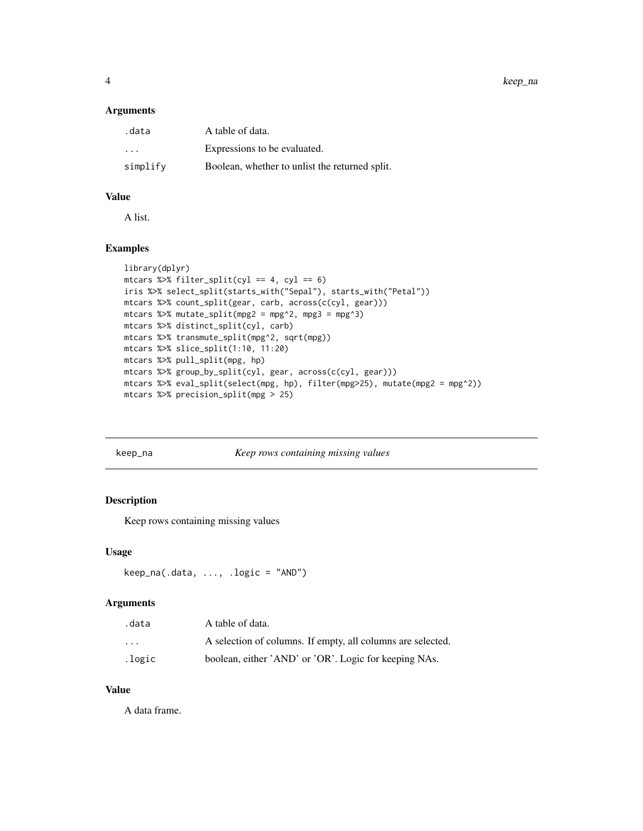<span id="page-3-0"></span>4 keep\_na

#### Arguments

| .data                   | A table of data.                               |
|-------------------------|------------------------------------------------|
| $\cdot$ $\cdot$ $\cdot$ | Expressions to be evaluated.                   |
| simplify                | Boolean, whether to unlist the returned split. |

#### Value

A list.

#### Examples

```
library(dplyr)
mtcars %>% filter_split(cyl == 4, cyl == 6)
iris %>% select_split(starts_with("Sepal"), starts_with("Petal"))
mtcars %>% count_split(gear, carb, across(c(cyl, gear)))
mtcars %>% mutate_split(mpg2 = mpg^2, mpg3 = mpg^3)
mtcars %>% distinct_split(cyl, carb)
mtcars %>% transmute_split(mpg^2, sqrt(mpg))
mtcars %>% slice_split(1:10, 11:20)
mtcars %>% pull_split(mpg, hp)
mtcars %>% group_by_split(cyl, gear, across(c(cyl, gear)))
mtcars %>% eval_split(select(mpg, hp), filter(mpg>25), mutate(mpg2 = mpg^2))
mtcars %>% precision_split(mpg > 25)
```
#### keep\_na *Keep rows containing missing values*

#### Description

Keep rows containing missing values

#### Usage

```
keep_na(.data, ..., .logic = "AND")
```
#### Arguments

| .data                   | A table of data.                                            |
|-------------------------|-------------------------------------------------------------|
| $\cdot$ $\cdot$ $\cdot$ | A selection of columns. If empty, all columns are selected. |
| .logic                  | boolean, either 'AND' or 'OR'. Logic for keeping NAs.       |

#### Value

A data frame.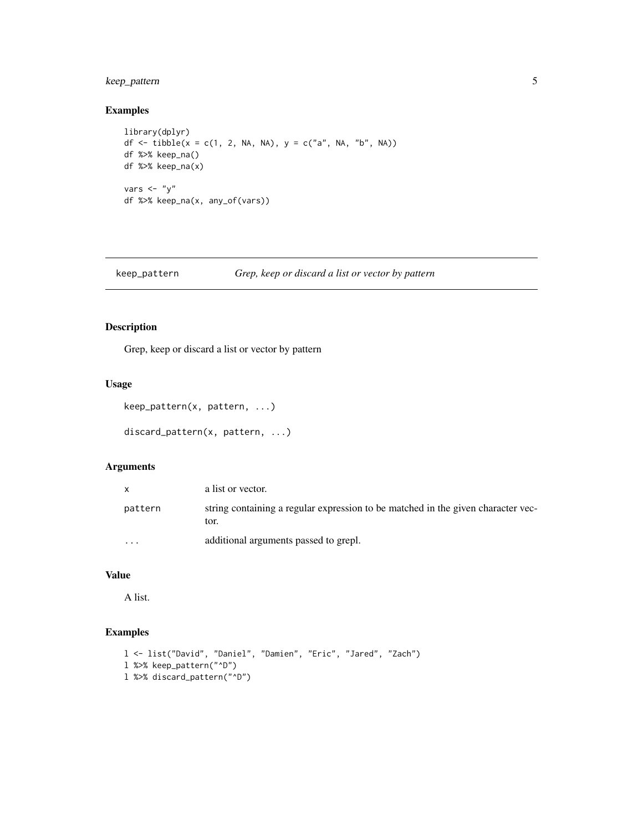#### <span id="page-4-0"></span>keep\_pattern 5

#### Examples

```
library(dplyr)
df <- tibble(x = c(1, 2, NA, NA), y = c("a", NA, "b", NA))
df %>% keep_na()
df %>% keep_na(x)
vars \langle - "y"
df %>% keep_na(x, any_of(vars))
```
keep\_pattern *Grep, keep or discard a list or vector by pattern*

#### Description

Grep, keep or discard a list or vector by pattern

#### Usage

```
keep_pattern(x, pattern, ...)
```

```
discard_pattern(x, pattern, ...)
```
#### Arguments

|          | a list or vector.                                                                        |
|----------|------------------------------------------------------------------------------------------|
| pattern  | string containing a regular expression to be matched in the given character vec-<br>tor. |
| $\cdots$ | additional arguments passed to grepl.                                                    |

#### Value

A list.

#### Examples

```
l <- list("David", "Daniel", "Damien", "Eric", "Jared", "Zach")
l %>% keep_pattern("^D")
l %>% discard_pattern("^D")
```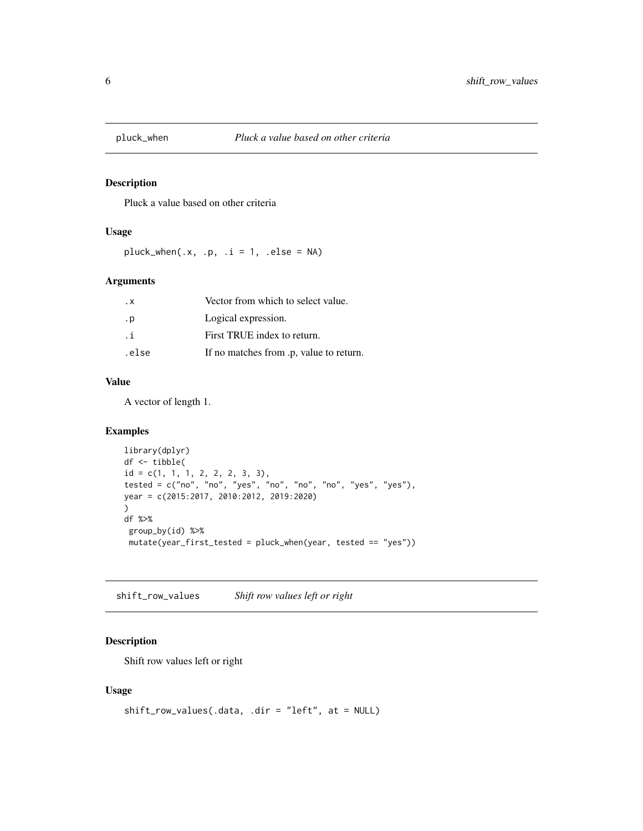<span id="page-5-0"></span>

#### Description

Pluck a value based on other criteria

#### Usage

 $plus\_when(.x, .p, .i = 1, .else = NA)$ 

#### Arguments

| . х   | Vector from which to select value.      |
|-------|-----------------------------------------|
| . p   | Logical expression.                     |
| .i    | First TRUE index to return.             |
| .else | If no matches from .p, value to return. |

#### Value

A vector of length 1.

#### Examples

```
library(dplyr)
df <- tibble(
id = c(1, 1, 1, 2, 2, 2, 3, 3),tested = c("no", "no", "yes", "no", "no", "no", "yes", "yes", "yes"),year = c(2015:2017, 2010:2012, 2019:2020)
\mathcal{L}df %>%
 group_by(id) %>%
 mutate(year_first_tested = pluck_when(year, tested == "yes"))
```
shift\_row\_values *Shift row values left or right*

#### Description

Shift row values left or right

#### Usage

```
shift_row_values(.data, .dir = "left", at = NULL)
```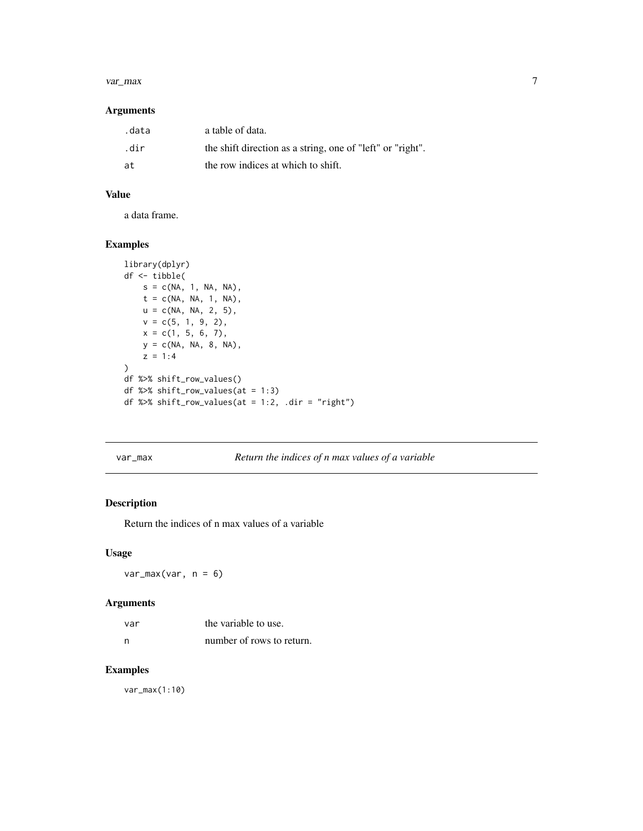#### <span id="page-6-0"></span>var\_max 7

#### Arguments

| .data | a table of data.                                           |
|-------|------------------------------------------------------------|
| .dir  | the shift direction as a string, one of "left" or "right". |
| at    | the row indices at which to shift.                         |

#### Value

a data frame.

#### Examples

```
library(dplyr)
df <- tibble(
    s = c(NA, 1, NA, NA),t = c(NA, NA, 1, NA),u = c(NA, NA, 2, 5),
    v = c(5, 1, 9, 2),x = c(1, 5, 6, 7),y = c(NA, NA, 8, NA),
    z = 1:4\lambdadf %>% shift_row_values()
df %>% shift_row_values(at = 1:3)
df %>% shift_row_values(at = 1:2, .dir = "right")
```
#### var\_max *Return the indices of n max values of a variable*

#### Description

Return the indices of n max values of a variable

#### Usage

 $var_max(var, n = 6)$ 

#### Arguments

| var | the variable to use.      |
|-----|---------------------------|
| n   | number of rows to return. |

#### Examples

var\_max(1:10)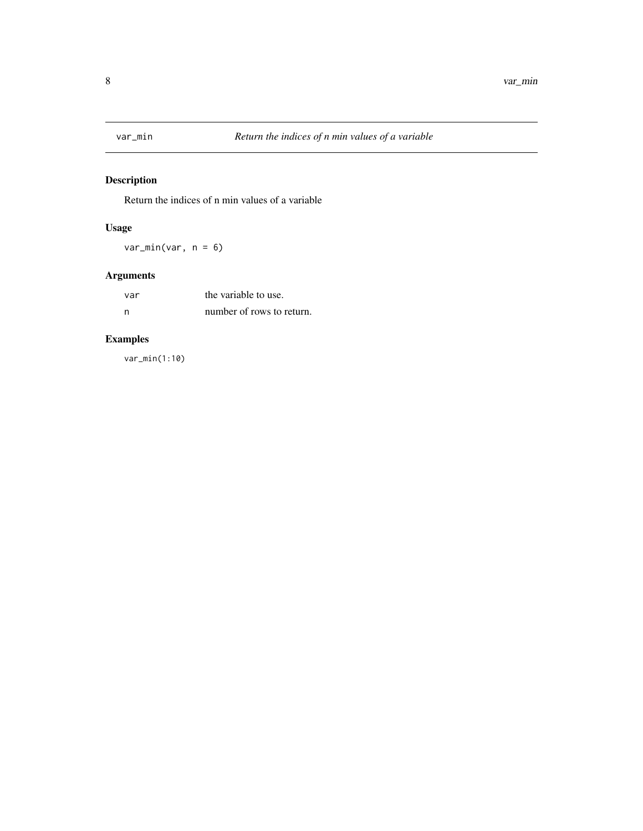<span id="page-7-0"></span>

#### Description

Return the indices of n min values of a variable

#### Usage

 $var\_min(var, n = 6)$ 

## Arguments

| -var | the variable to use.      |
|------|---------------------------|
| - n  | number of rows to return. |

## Examples

var\_min(1:10)